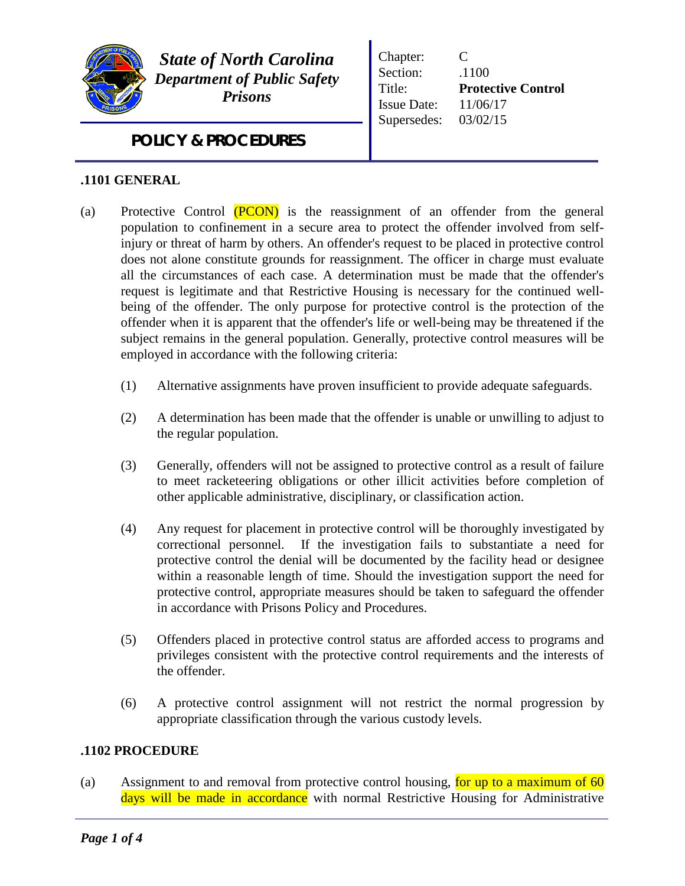

*State of North Carolina Department of Public Safety Prisons*

Chapter: C Section: .1100 Title: **Protective Control** Issue Date: 11/06/17 Supersedes: 03/02/15

*POLICY & PROCEDURES*

## **.1101 GENERAL**

- (a) Protective Control (PCON) is the reassignment of an offender from the general population to confinement in a secure area to protect the offender involved from selfinjury or threat of harm by others. An offender's request to be placed in protective control does not alone constitute grounds for reassignment. The officer in charge must evaluate all the circumstances of each case. A determination must be made that the offender's request is legitimate and that Restrictive Housing is necessary for the continued wellbeing of the offender. The only purpose for protective control is the protection of the offender when it is apparent that the offender's life or well-being may be threatened if the subject remains in the general population. Generally, protective control measures will be employed in accordance with the following criteria:
	- (1) Alternative assignments have proven insufficient to provide adequate safeguards.
	- (2) A determination has been made that the offender is unable or unwilling to adjust to the regular population.
	- (3) Generally, offenders will not be assigned to protective control as a result of failure to meet racketeering obligations or other illicit activities before completion of other applicable administrative, disciplinary, or classification action.
	- (4) Any request for placement in protective control will be thoroughly investigated by correctional personnel. If the investigation fails to substantiate a need for protective control the denial will be documented by the facility head or designee within a reasonable length of time. Should the investigation support the need for protective control, appropriate measures should be taken to safeguard the offender in accordance with Prisons Policy and Procedures.
	- (5) Offenders placed in protective control status are afforded access to programs and privileges consistent with the protective control requirements and the interests of the offender.
	- (6) A protective control assignment will not restrict the normal progression by appropriate classification through the various custody levels.

## **.1102 PROCEDURE**

(a) Assignment to and removal from protective control housing, for up to a maximum of  $60$ days will be made in accordance with normal Restrictive Housing for Administrative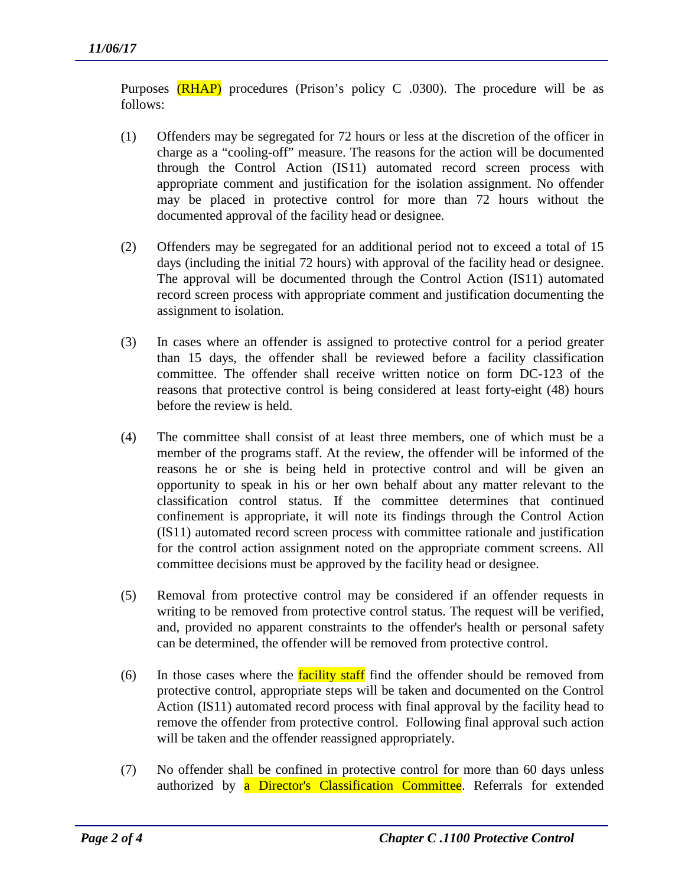Purposes  $(RHAP)$  procedures (Prison's policy C .0300). The procedure will be as follows:

- (1) Offenders may be segregated for 72 hours or less at the discretion of the officer in charge as a "cooling-off" measure. The reasons for the action will be documented through the Control Action (IS11) automated record screen process with appropriate comment and justification for the isolation assignment. No offender may be placed in protective control for more than 72 hours without the documented approval of the facility head or designee.
- (2) Offenders may be segregated for an additional period not to exceed a total of 15 days (including the initial 72 hours) with approval of the facility head or designee. The approval will be documented through the Control Action (IS11) automated record screen process with appropriate comment and justification documenting the assignment to isolation.
- (3) In cases where an offender is assigned to protective control for a period greater than 15 days, the offender shall be reviewed before a facility classification committee. The offender shall receive written notice on form DC-123 of the reasons that protective control is being considered at least forty-eight (48) hours before the review is held.
- (4) The committee shall consist of at least three members, one of which must be a member of the programs staff. At the review, the offender will be informed of the reasons he or she is being held in protective control and will be given an opportunity to speak in his or her own behalf about any matter relevant to the classification control status. If the committee determines that continued confinement is appropriate, it will note its findings through the Control Action (IS11) automated record screen process with committee rationale and justification for the control action assignment noted on the appropriate comment screens. All committee decisions must be approved by the facility head or designee.
- (5) Removal from protective control may be considered if an offender requests in writing to be removed from protective control status. The request will be verified, and, provided no apparent constraints to the offender's health or personal safety can be determined, the offender will be removed from protective control.
- (6) In those cases where the **facility staff** find the offender should be removed from protective control, appropriate steps will be taken and documented on the Control Action (IS11) automated record process with final approval by the facility head to remove the offender from protective control. Following final approval such action will be taken and the offender reassigned appropriately.
- (7) No offender shall be confined in protective control for more than 60 days unless authorized by a Director's Classification Committee. Referrals for extended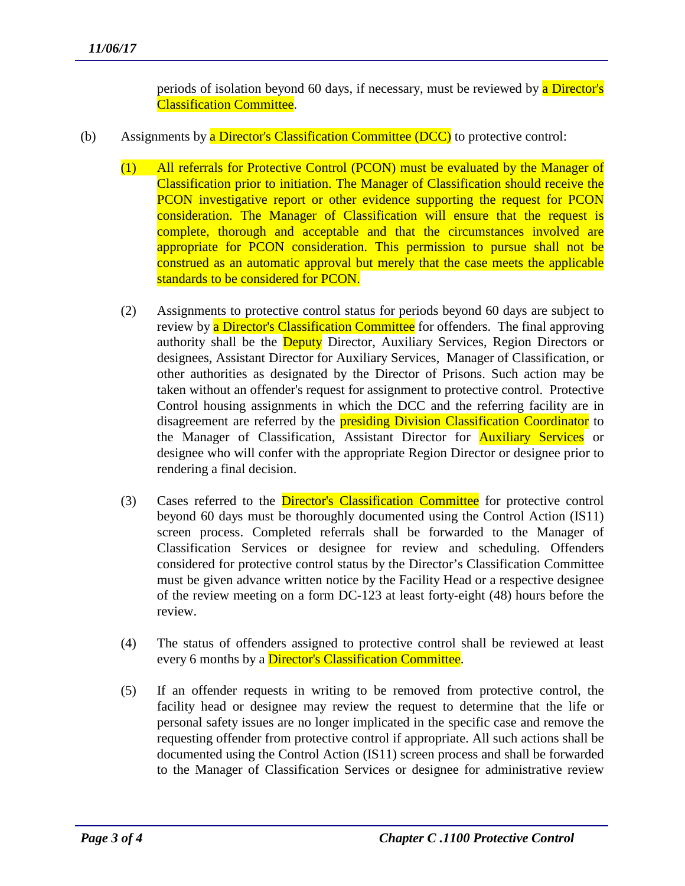periods of isolation beyond 60 days, if necessary, must be reviewed by a **Director's** Classification Committee.

- (b) Assignments by a Director's Classification Committee (DCC) to protective control:
	- (1) All referrals for Protective Control (PCON) must be evaluated by the Manager of Classification prior to initiation. The Manager of Classification should receive the PCON investigative report or other evidence supporting the request for PCON consideration. The Manager of Classification will ensure that the request is complete, thorough and acceptable and that the circumstances involved are appropriate for PCON consideration. This permission to pursue shall not be construed as an automatic approval but merely that the case meets the applicable standards to be considered for PCON.
	- (2) Assignments to protective control status for periods beyond 60 days are subject to review by a Director's Classification Committee for offenders. The final approving authority shall be the **Deputy** Director, Auxiliary Services, Region Directors or designees, Assistant Director for Auxiliary Services, Manager of Classification, or other authorities as designated by the Director of Prisons. Such action may be taken without an offender's request for assignment to protective control. Protective Control housing assignments in which the DCC and the referring facility are in disagreement are referred by the **presiding Division Classification Coordinator** to the Manager of Classification, Assistant Director for **Auxiliary Services** or designee who will confer with the appropriate Region Director or designee prior to rendering a final decision.
	- (3) Cases referred to the Director's Classification Committee for protective control beyond 60 days must be thoroughly documented using the Control Action (IS11) screen process. Completed referrals shall be forwarded to the Manager of Classification Services or designee for review and scheduling. Offenders considered for protective control status by the Director's Classification Committee must be given advance written notice by the Facility Head or a respective designee of the review meeting on a form DC-123 at least forty-eight (48) hours before the review.
	- (4) The status of offenders assigned to protective control shall be reviewed at least every 6 months by a **Director's Classification Committee.**
	- (5) If an offender requests in writing to be removed from protective control, the facility head or designee may review the request to determine that the life or personal safety issues are no longer implicated in the specific case and remove the requesting offender from protective control if appropriate. All such actions shall be documented using the Control Action (IS11) screen process and shall be forwarded to the Manager of Classification Services or designee for administrative review